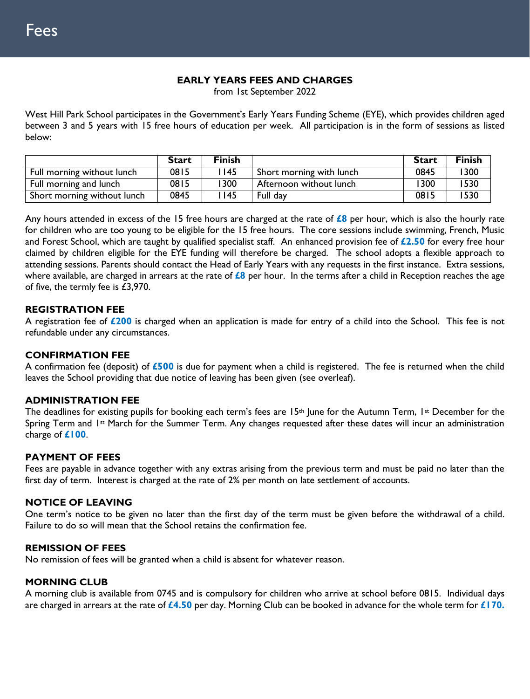### **EARLY YEARS FEES AND CHARGES**

from 1st September 2022

West Hill Park School participates in the Government's Early Years Funding Scheme (EYE), which provides children aged between 3 and 5 years with 15 free hours of education per week. All participation is in the form of sessions as listed below:

|                             | <b>Start</b> | <b>Finish</b> |                          | <b>Start</b> | <b>Finish</b> |
|-----------------------------|--------------|---------------|--------------------------|--------------|---------------|
| Full morning without lunch  | 0815         | l 145         | Short morning with lunch | 0845         | ' 300         |
| Full morning and lunch      | 0815         | 1300          | Afternoon without lunch  | 1300         | 1530          |
| Short morning without lunch | 0845         | l 145         | Full day                 | 0815         | 1530          |

Any hours attended in excess of the 15 free hours are charged at the rate of **£8** per hour, which is also the hourly rate for children who are too young to be eligible for the 15 free hours. The core sessions include swimming, French, Music and Forest School, which are taught by qualified specialist staff. An enhanced provision fee of **£2.50** for every free hour claimed by children eligible for the EYE funding will therefore be charged. The school adopts a flexible approach to attending sessions. Parents should contact the Head of Early Years with any requests in the first instance. Extra sessions, where available, are charged in arrears at the rate of **£8** per hour. In the terms after a child in Reception reaches the age of five, the termly fee is £3,970.

### **REGISTRATION FEE**

A registration fee of **£200** is charged when an application is made for entry of a child into the School. This fee is not refundable under any circumstances.

### **CONFIRMATION FEE**

A confirmation fee (deposit) of **£500** is due for payment when a child is registered. The fee is returned when the child leaves the School providing that due notice of leaving has been given (see overleaf).

### **ADMINISTRATION FEE**

The deadlines for existing pupils for booking each term's fees are 15<sup>th</sup> June for the Autumn Term, 1st December for the Spring Term and 1<sup>st</sup> March for the Summer Term. Any changes requested after these dates will incur an administration charge of **£100**.

### **PAYMENT OF FEES**

Fees are payable in advance together with any extras arising from the previous term and must be paid no later than the first day of term. Interest is charged at the rate of 2% per month on late settlement of accounts.

### **NOTICE OF LEAVING**

One term's notice to be given no later than the first day of the term must be given before the withdrawal of a child. Failure to do so will mean that the School retains the confirmation fee.

### **REMISSION OF FEES**

No remission of fees will be granted when a child is absent for whatever reason.

### **MORNING CLUB**

A morning club is available from 0745 and is compulsory for children who arrive at school before 0815. Individual days are charged in arrears at the rate of **£4.50** per day. Morning Club can be booked in advance for the whole term for **£170.**